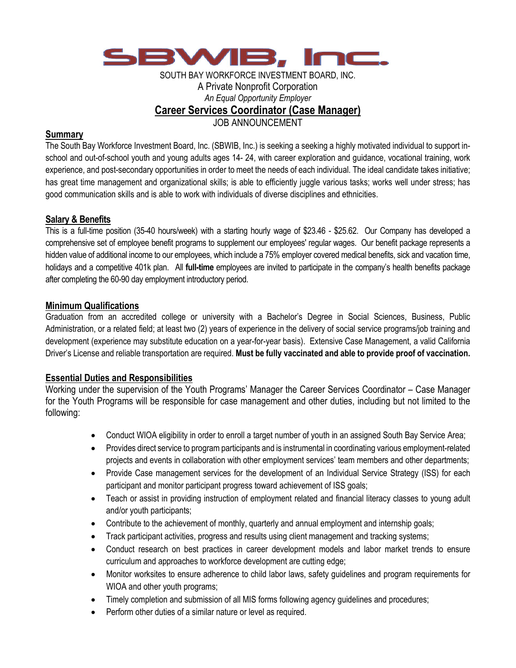

### SOUTH BAY WORKFORCE INVESTMENT BOARD, INC. A Private Nonprofit Corporation *An Equal Opportunity Employer* **Career Services Coordinator (Case Manager)**

JOB ANNOUNCEMENT

### **Summary**

The South Bay Workforce Investment Board, Inc. (SBWIB, Inc.) is seeking a seeking a highly motivated individual to support inschool and out-of-school youth and young adults ages 14- 24, with career exploration and guidance, vocational training, work experience, and post-secondary opportunities in order to meet the needs of each individual. The ideal candidate takes initiative; has great time management and organizational skills; is able to efficiently juggle various tasks; works well under stress; has good communication skills and is able to work with individuals of diverse disciplines and ethnicities.

# **Salary & Benefits**

This is a full-time position (35-40 hours/week) with a starting hourly wage of \$23.46 - \$25.62. Our Company has developed a comprehensive set of employee benefit programs to supplement our employees' regular wages. Our benefit package represents a hidden value of additional income to our employees, which include a 75% employer covered medical benefits, sick and vacation time, holidays and a competitive 401k plan. All **full-time** employees are invited to participate in the company's health benefits package after completing the 60-90 day employment introductory period.

# **Minimum Qualifications**

Graduation from an accredited college or university with a Bachelor's Degree in Social Sciences, Business, Public Administration, or a related field; at least two (2) years of experience in the delivery of social service programs/job training and development (experience may substitute education on a year-for-year basis). Extensive Case Management, a valid California Driver's License and reliable transportation are required. **Must be fully vaccinated and able to provide proof of vaccination.**

# **Essential Duties and Responsibilities**

Working under the supervision of the Youth Programs' Manager the Career Services Coordinator – Case Manager for the Youth Programs will be responsible for case management and other duties, including but not limited to the following:

- Conduct WIOA eligibility in order to enroll a target number of youth in an assigned South Bay Service Area;
- Provides direct service to program participants and is instrumental in coordinating various employment-related projects and events in collaboration with other employment services' team members and other departments;
- Provide Case management services for the development of an Individual Service Strategy (ISS) for each participant and monitor participant progress toward achievement of ISS goals;
- Teach or assist in providing instruction of employment related and financial literacy classes to young adult and/or youth participants;
- Contribute to the achievement of monthly, quarterly and annual employment and internship goals;
- Track participant activities, progress and results using client management and tracking systems;
- Conduct research on best practices in career development models and labor market trends to ensure curriculum and approaches to workforce development are cutting edge;
- Monitor worksites to ensure adherence to child labor laws, safety guidelines and program requirements for WIOA and other youth programs;
- Timely completion and submission of all MIS forms following agency guidelines and procedures;
- Perform other duties of a similar nature or level as required.